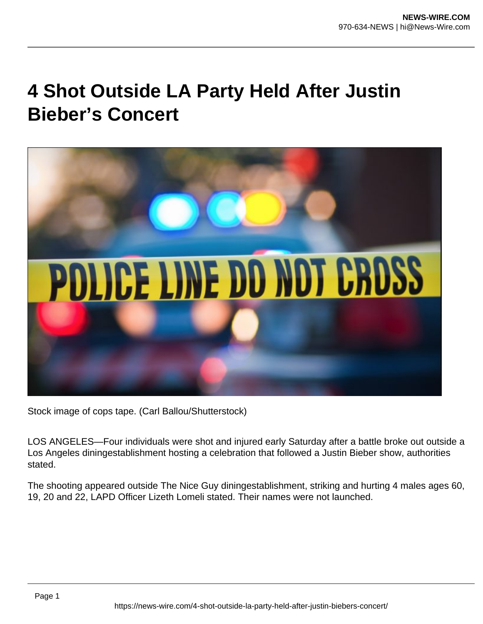## **4 Shot Outside LA Party Held After Justin Bieber's Concert**



Stock image of cops tape. (Carl Ballou/Shutterstock)

LOS ANGELES—Four individuals were shot and injured early Saturday after a battle broke out outside a Los Angeles diningestablishment hosting a celebration that followed a Justin Bieber show, authorities stated.

The shooting appeared outside The Nice Guy diningestablishment, striking and hurting 4 males ages 60, 19, 20 and 22, LAPD Officer Lizeth Lomeli stated. Their names were not launched.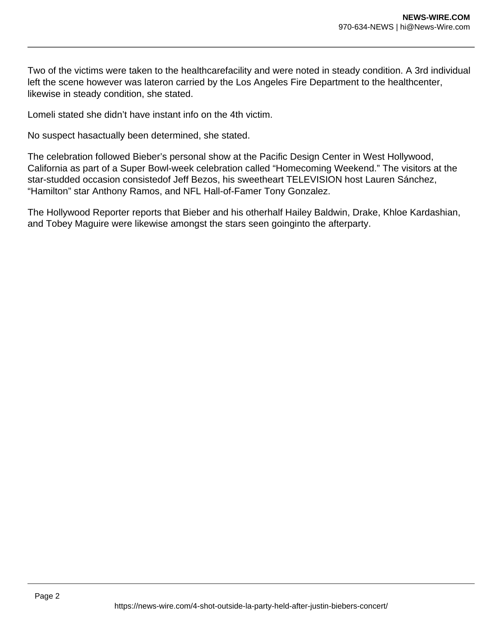Two of the victims were taken to the healthcarefacility and were noted in steady condition. A 3rd individual left the scene however was lateron carried by the Los Angeles Fire Department to the healthcenter, likewise in steady condition, she stated.

Lomeli stated she didn't have instant info on the 4th victim.

No suspect hasactually been determined, she stated.

The celebration followed Bieber's personal show at the Pacific Design Center in West Hollywood, California as part of a Super Bowl-week celebration called "Homecoming Weekend." The visitors at the star-studded occasion consistedof Jeff Bezos, his sweetheart TELEVISION host Lauren Sánchez, "Hamilton" star Anthony Ramos, and NFL Hall-of-Famer Tony Gonzalez.

The Hollywood Reporter reports that Bieber and his otherhalf Hailey Baldwin, Drake, Khloe Kardashian, and Tobey Maguire were likewise amongst the stars seen goinginto the afterparty.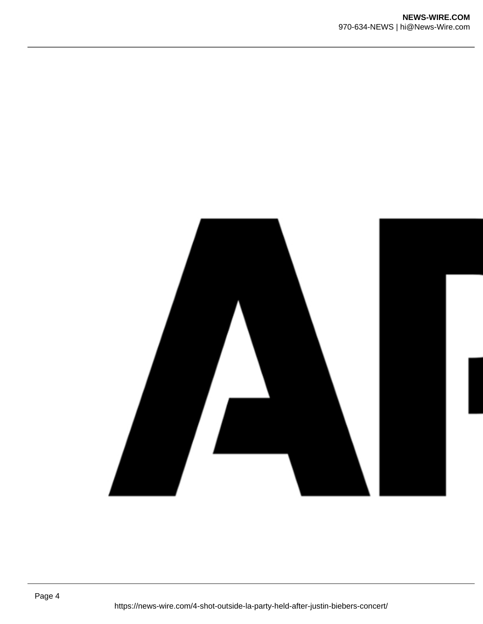